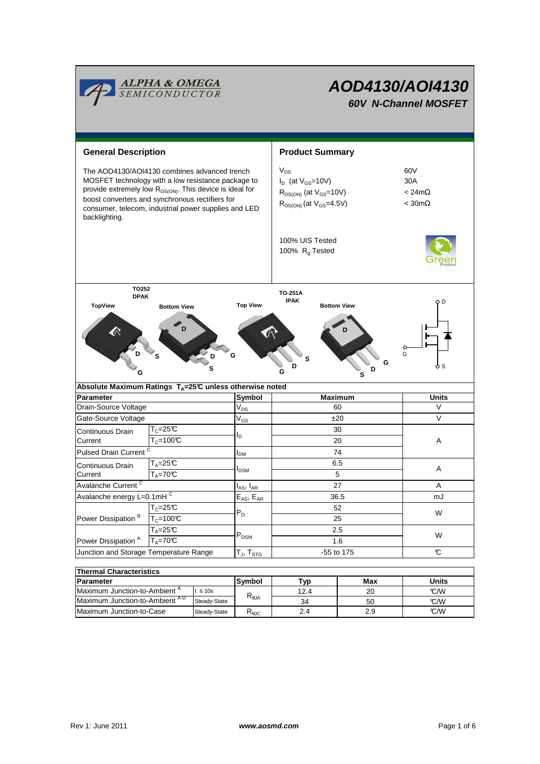

| Thermal Characteristics                   |              |                 |                 |     |       |  |  |  |  |  |
|-------------------------------------------|--------------|-----------------|-----------------|-----|-------|--|--|--|--|--|
| Parameter                                 |              | <b>Svmbol</b>   | T <sub>VD</sub> | Max | Units |  |  |  |  |  |
| Maximum Junction-to-Ambient "             | ≤ 10s        |                 | 12.4            | 20  | C/W   |  |  |  |  |  |
| Maximum Junction-to-Ambient <sup>AD</sup> | Steady-State |                 | 34              | 50  | C/W   |  |  |  |  |  |
| Maximum Junction-to-Case                  | Steady-State | <b>KAJC</b>     | 2.4             | 2.9 | C/W   |  |  |  |  |  |
|                                           |              | $R_{\theta JA}$ |                 |     |       |  |  |  |  |  |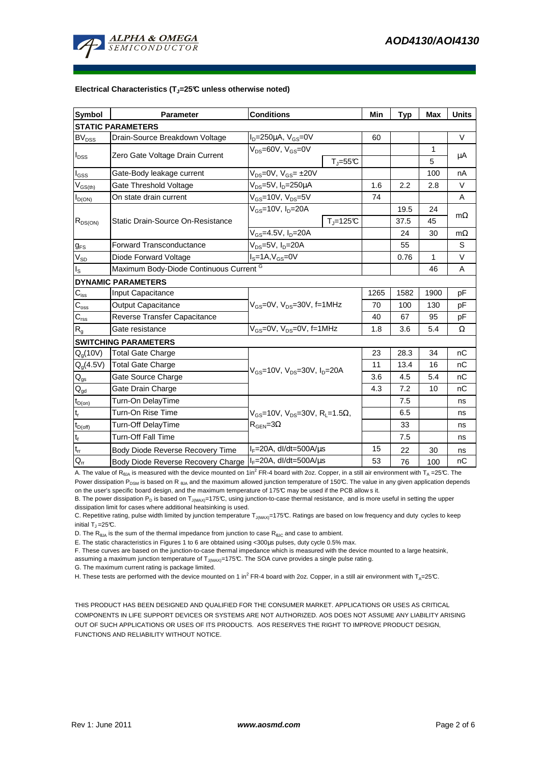

## **Electrical Characteristics (TJ=25°C unless otherwise noted)**

| <b>Symbol</b>              | <b>Parameter</b>                        | <b>Conditions</b>                                                                          |                              | Min  | <b>Typ</b> | Max  | <b>Units</b> |  |  |  |  |
|----------------------------|-----------------------------------------|--------------------------------------------------------------------------------------------|------------------------------|------|------------|------|--------------|--|--|--|--|
| <b>STATIC PARAMETERS</b>   |                                         |                                                                                            |                              |      |            |      |              |  |  |  |  |
| <b>BV<sub>DSS</sub></b>    | Drain-Source Breakdown Voltage          | $I_D = 250 \mu A$ , $V_{GS} = 0V$                                                          |                              | 60   |            |      | $\vee$       |  |  |  |  |
| $I_{DSS}$                  | Zero Gate Voltage Drain Current         | $V_{DS}$ =60V, $V_{GS}$ =0V                                                                |                              |      |            | 1    |              |  |  |  |  |
|                            |                                         |                                                                                            | $T_{\text{J}} = 55^{\circ}C$ |      |            | 5    | μA           |  |  |  |  |
| l <sub>GSS</sub>           | Gate-Body leakage current               | $V_{DS} = 0V$ , $V_{GS} = \pm 20V$                                                         |                              |      |            | 100  | nA           |  |  |  |  |
| $V_{GS(th)}$               | Gate Threshold Voltage                  | $V_{DS}$ =5V, I <sub>D</sub> =250µA                                                        |                              | 1.6  | 2.2        | 2.8  | $\vee$       |  |  |  |  |
| $I_{D(ON)}$                | On state drain current                  | $V_{GS}$ =10V, $V_{DS}$ =5V                                                                |                              | 74   |            |      | A            |  |  |  |  |
| $R_{DS(ON)}$               | Static Drain-Source On-Resistance       | $V_{GS}$ =10V, $I_D$ =20A                                                                  |                              |      | 19.5       | 24   | $m\Omega$    |  |  |  |  |
|                            |                                         |                                                                                            | $T_i = 125C$                 |      | 37.5       | 45   |              |  |  |  |  |
|                            |                                         | $V_{GS} = 4.5V$ , $I_{D} = 20A$                                                            |                              |      | 24         | 30   | $m\Omega$    |  |  |  |  |
| $g_{FS}$                   | <b>Forward Transconductance</b>         | $V_{DS}$ =5V, $I_D$ =20A                                                                   |                              |      | 55         |      | S            |  |  |  |  |
| $V_{SD}$                   | Diode Forward Voltage                   | $I_S = 1A$ , $V_{GS} = 0V$                                                                 |                              |      | 0.76       | 1    | $\vee$       |  |  |  |  |
| ıs.                        | Maximum Body-Diode Continuous Current G |                                                                                            |                              |      |            | 46   | A            |  |  |  |  |
|                            | <b>DYNAMIC PARAMETERS</b>               |                                                                                            |                              |      |            |      |              |  |  |  |  |
| $C_{\text{iss}}$           | Input Capacitance                       | $V_{GS}$ =0V, $V_{DS}$ =30V, f=1MHz                                                        |                              | 1265 | 1582       | 1900 | pF           |  |  |  |  |
| $C_{\rm oss}$              | <b>Output Capacitance</b>               |                                                                                            |                              | 70   | 100        | 130  | pF           |  |  |  |  |
| $C_{\text{rss}}$           | Reverse Transfer Capacitance            |                                                                                            |                              | 40   | 67         | 95   | pF           |  |  |  |  |
| $R_{g}$                    | Gate resistance                         | $V_{GS}$ =0V, $V_{DS}$ =0V, f=1MHz                                                         |                              | 1.8  | 3.6        | 5.4  | Ω            |  |  |  |  |
|                            | <b>SWITCHING PARAMETERS</b>             |                                                                                            |                              |      |            |      |              |  |  |  |  |
| $Q_g(10V)$                 | Total Gate Charge                       | $V_{GS}$ =10V, $V_{DS}$ =30V, $I_D$ =20A                                                   |                              | 23   | 28.3       | 34   | nC           |  |  |  |  |
| $Q_q(4.5V)$                | <b>Total Gate Charge</b>                |                                                                                            |                              | 11   | 13.4       | 16   | nC           |  |  |  |  |
| $Q_{gs}$                   | Gate Source Charge                      |                                                                                            |                              | 3.6  | 4.5        | 5.4  | nС           |  |  |  |  |
| $\mathbf{Q}_{\text{gd}}$   | Gate Drain Charge                       |                                                                                            |                              | 4.3  | 7.2        | 10   | nC           |  |  |  |  |
| $t_{D(on)}$                | Turn-On DelayTime                       | $V_{GS}$ =10V, $V_{DS}$ =30V, R <sub>1</sub> =1.5 $\Omega$ ,<br>$R_{\text{GEN}} = 3\Omega$ |                              |      | 7.5        |      | ns           |  |  |  |  |
| $t_r$                      | Turn-On Rise Time                       |                                                                                            |                              |      | 6.5        |      | ns           |  |  |  |  |
| $t_{D(off)}$               | Turn-Off DelayTime                      |                                                                                            |                              |      | 33         |      | ns           |  |  |  |  |
| $t_f$                      | <b>Turn-Off Fall Time</b>               |                                                                                            |                              |      | 7.5        |      | ns           |  |  |  |  |
| $\mathfrak{t}_{\text{rr}}$ | Body Diode Reverse Recovery Time        | $I_F = 20A$ , dl/dt=500A/ $\mu$ s                                                          |                              | 15   | 22         | 30   | ns           |  |  |  |  |
| $Q_{rr}$                   | Body Diode Reverse Recovery Charge      | $I_F = 20A$ , dl/dt=500A/ $\mu$ s                                                          |                              | 53   | 76         | 100  | nC           |  |  |  |  |

A. The value of R<sub>θJA</sub> is measured with the device mounted on 1in<sup>2</sup> FR-4 board with 2oz. Copper, in a still air environment with T<sub>A</sub> =25℃. The

Power dissipation P<sub>DSM</sub> is based on R<sub>6JA</sub> and the maximum allowed junction temperature of 150°C. The value in any given application depends on the user's specific board design, and the maximum temperature of 175°C may be used if the PCB allow s it.

B. The power dissipation  $P_D$  is based on  $T_{J(MAX)}$ =175°C, using junction-to-case thermal resistance, and is more useful in setting the upper dissipation limit for cases where additional heatsinking is used.

C. Repetitive rating, pulse width limited by junction temperature  $T_{J(MAX)}$ =175°C. Ratings are based on low frequency and duty cycles to keep initial  $T_1 = 25^{\circ}C$ .

D. The  $R_{\theta JA}$  is the sum of the thermal impedance from junction to case  $R_{\theta JC}$  and case to ambient.

E. The static characteristics in Figures 1 to 6 are obtained using <300µs pulses, duty cycle 0.5% max.

F. These curves are based on the junction-to-case thermal impedance which is measured with the device mounted to a large heatsink,

assuming a maximum junction temperature of  $T_{J(MAX)}$ =175°C. The SOA curve provides a single pulse ratin g.

G. The maximum current rating is package limited.

H. These tests are performed with the device mounted on 1 in<sup>2</sup> FR-4 board with 2oz. Copper, in a still air environment with T<sub>A</sub>=25°C.

THIS PRODUCT HAS BEEN DESIGNED AND QUALIFIED FOR THE CONSUMER MARKET. APPLICATIONS OR USES AS CRITICAL COMPONENTS IN LIFE SUPPORT DEVICES OR SYSTEMS ARE NOT AUTHORIZED. AOS DOES NOT ASSUME ANY LIABILITY ARISING OUT OF SUCH APPLICATIONS OR USES OF ITS PRODUCTS. AOS RESERVES THE RIGHT TO IMPROVE PRODUCT DESIGN, FUNCTIONS AND RELIABILITY WITHOUT NOTICE.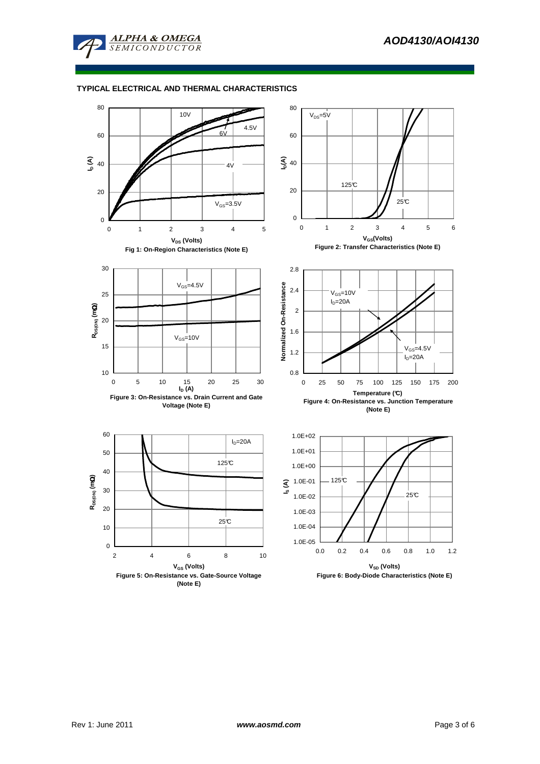

# **TYPICAL ELECTRICAL AND THERMAL CHARACTERISTICS**

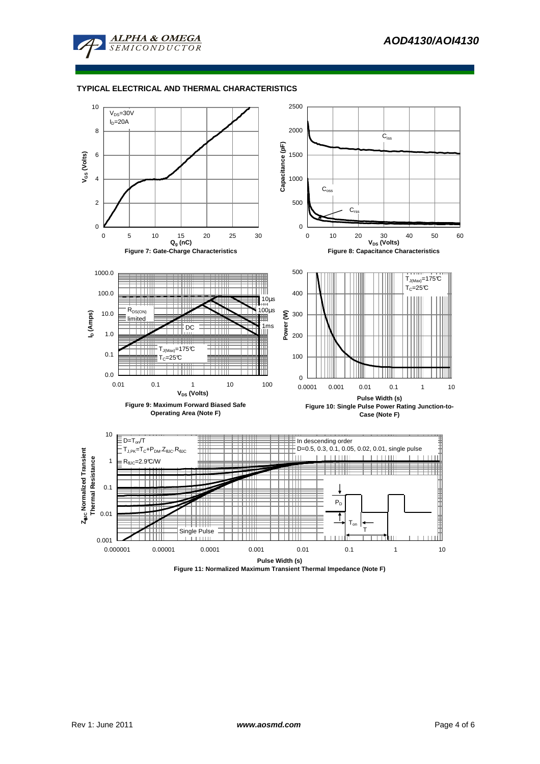

# **TYPICAL ELECTRICAL AND THERMAL CHARACTERISTICS**



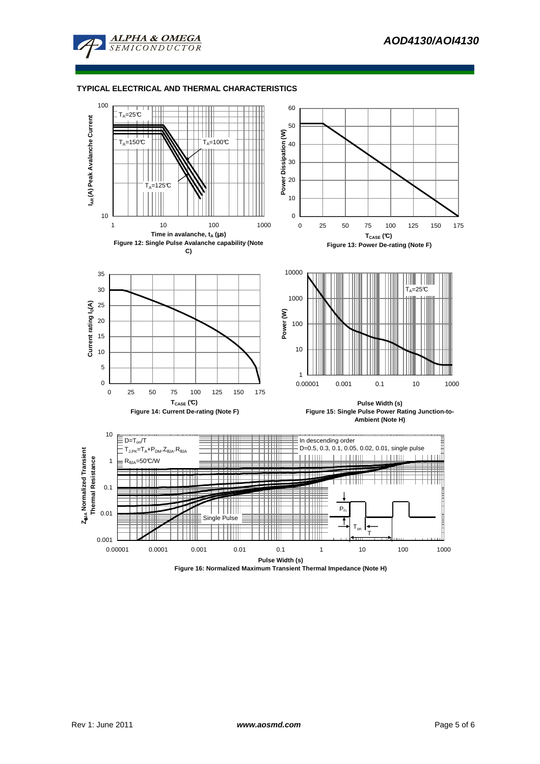

## **TYPICAL ELECTRICAL AND THERMAL CHARACTERISTICS**